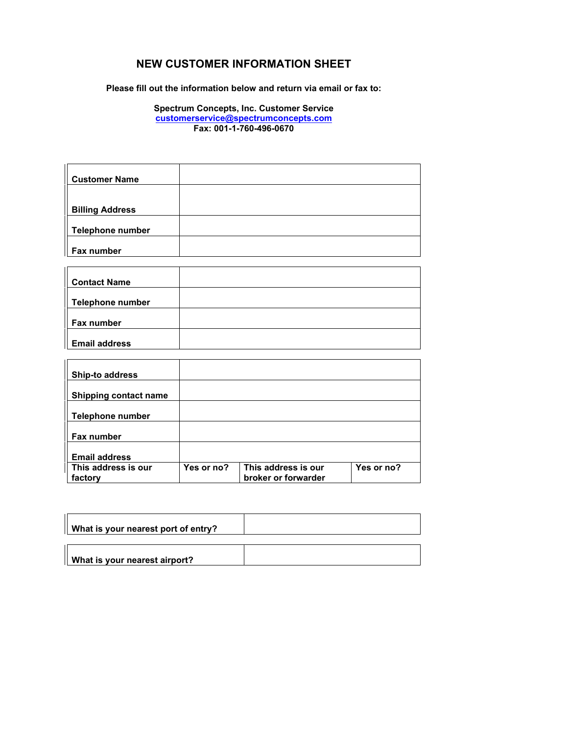## **NEW CUSTOMER INFORMATION SHEET**

**Please fill out the information below and return via email or fax to:** 

**Spectrum Concepts, Inc. Customer Service customerservice@spectrumconcepts.com Fax: 001-1-760-496-0670** 

| <b>Customer Name</b>    |  |
|-------------------------|--|
|                         |  |
| <b>Billing Address</b>  |  |
| <b>Telephone number</b> |  |
| <b>Fax number</b>       |  |

| <b>Contact Name</b>  |  |
|----------------------|--|
|                      |  |
| Telephone number     |  |
|                      |  |
| Fax number           |  |
|                      |  |
| <b>Email address</b> |  |

| <b>Ship-to address</b> |            |                     |            |
|------------------------|------------|---------------------|------------|
| Shipping contact name  |            |                     |            |
|                        |            |                     |            |
| Telephone number       |            |                     |            |
| <b>Fax number</b>      |            |                     |            |
|                        |            |                     |            |
| <b>Email address</b>   |            |                     |            |
| This address is our    | Yes or no? | This address is our | Yes or no? |
| factory                |            | broker or forwarder |            |

| What is your nearest port of entry? |  |
|-------------------------------------|--|
| What is your nearest airport?       |  |